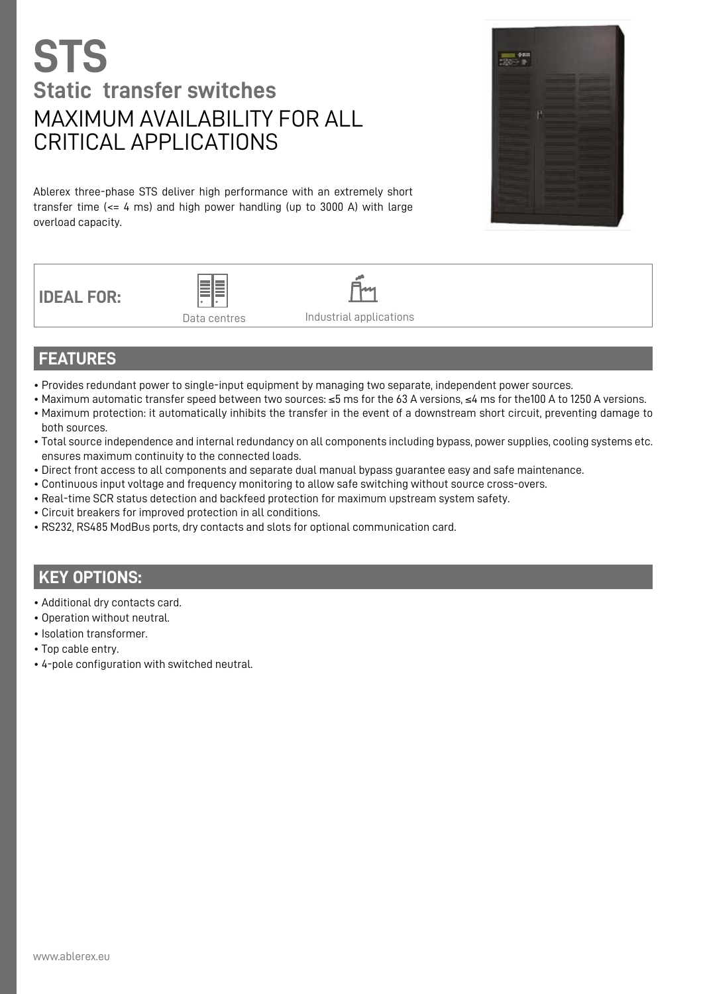## **STS Static transfer switches** MAXIMUM AVAILABILITY FOR ALL CRITICAL APPLICATIONS

Ablerex three-phase STS deliver high performance with an extremely short transfer time (<= 4 ms) and high power handling (up to 3000 A) with large overload capacity.



**IDEAL FOR:**





Industrial applications

## **FEATURES**

- Provides redundant power to single-input equipment by managing two separate, independent power sources.
- Maximum automatic transfer speed between two sources: ≤5 ms for the 63 A versions, ≤4 ms for the100 A to 1250 A versions.
- Maximum protection: it automatically inhibits the transfer in the event of a downstream short circuit, preventing damage to both sources.
- Total source independence and internal redundancy on all components including bypass, power supplies, cooling systems etc. ensures maximum continuity to the connected loads.
- Direct front access to all components and separate dual manual bypass guarantee easy and safe maintenance.
- Continuous input voltage and frequency monitoring to allow safe switching without source cross-overs.
- Real-time SCR status detection and backfeed protection for maximum upstream system safety.
- Circuit breakers for improved protection in all conditions.
- RS232, RS485 ModBus ports, dry contacts and slots for optional communication card.

## **KEY OPTIONS:**

- Additional dry contacts card.
- Operation without neutral.
- Isolation transformer.
- Top cable entry.
- 4-pole configuration with switched neutral.